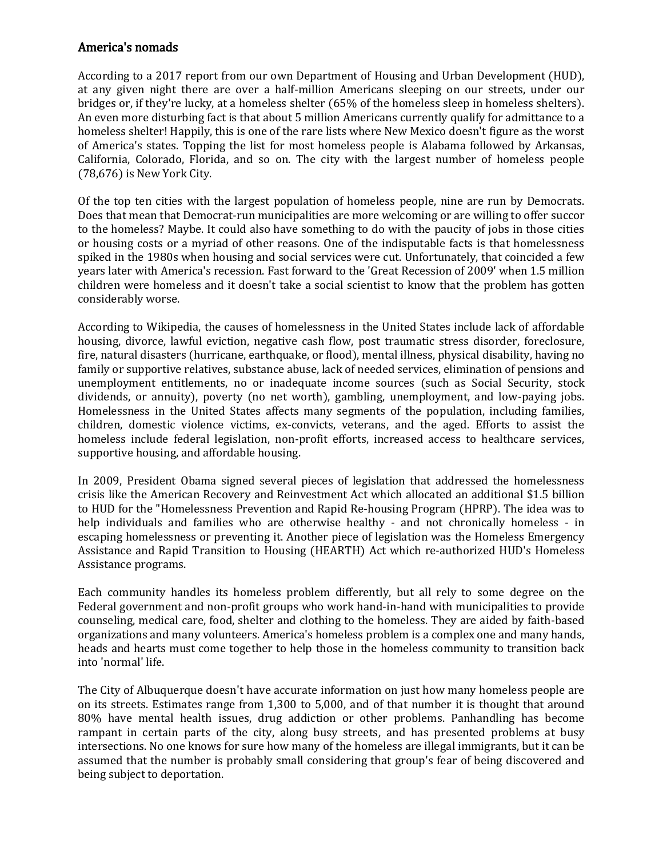## America's nomads

According to a 2017 report from our own Department of Housing and Urban Development (HUD), at any given night there are over a half-million Americans sleeping on our streets, under our bridges or, if they're lucky, at a homeless shelter (65% of the homeless sleep in homeless shelters). An even more disturbing fact is that about 5 million Americans currently qualify for admittance to a homeless shelter! Happily, this is one of the rare lists where New Mexico doesn't figure as the worst of America's states. Topping the list for most homeless people is Alabama followed by Arkansas, California, Colorado, Florida, and so on. The city with the largest number of homeless people (78,676) is New York City.

Of the top ten cities with the largest population of homeless people, nine are run by Democrats. Does that mean that Democrat-run municipalities are more welcoming or are willing to offer succor to the homeless? Maybe. It could also have something to do with the paucity of jobs in those cities or housing costs or a myriad of other reasons. One of the indisputable facts is that homelessness spiked in the 1980s when housing and social services were cut. Unfortunately, that coincided a few years later with America's recession. Fast forward to the 'Great Recession of 2009' when 1.5 million children were homeless and it doesn't take a social scientist to know that the problem has gotten considerably worse.

According to Wikipedia, the causes of homelessness in the United States include lack of [affordable](https://en.wikipedia.org/wiki/Affordable_housing)  [housing,](https://en.wikipedia.org/wiki/Affordable_housing) divorce, lawful eviction, negative cash flow, [post traumatic stress disorder,](https://en.wikipedia.org/wiki/Post_traumatic_stress_disorder) [foreclosure,](https://en.wikipedia.org/wiki/Foreclosure) fire, natural disasters [\(hurricane,](https://en.wikipedia.org/wiki/Hurricane) [earthquake,](https://en.wikipedia.org/wiki/Earthquake) or [flood\)](https://en.wikipedia.org/wiki/Flood)[, mental illness,](https://en.wikipedia.org/wiki/Mental_illness) [physical disability,](https://en.wikipedia.org/wiki/Physical_disability) having no family or supportive relatives[, substance abuse,](https://en.wikipedia.org/wiki/Substance_abuse) lack of needed services, elimination of pensions and unemployment entitlements, no or inadequate income sources (such as [Social Security,](https://en.wikipedia.org/wiki/Social_Security_(United_States)) stock dividends, or annuity), poverty (no net worth), gambling, unemployment, and low-paying jobs. Homelessness in the United States affects many segments of the population, including families, children, [domestic violence](https://en.wikipedia.org/wiki/Domestic_violence) victims, ex-convicts, [veterans,](https://en.wikipedia.org/wiki/Homeless_veterans_in_the_United_States) and the aged. Efforts to assist the homeless include [federal legislation,](https://en.wikipedia.org/wiki/Homeless_Bill_of_Rights) non-profit efforts, increased access to healthcare services, [supportive housing,](https://en.wikipedia.org/wiki/Supportive_housing) an[d affordable housing.](https://en.wikipedia.org/wiki/Subsidized_housing)

In 2009, President Obama signed several pieces of legislation that addressed the homelessness crisis like the [American Recovery and Reinvestment Act](https://en.wikipedia.org/wiki/American_Recovery_and_Reinvestment_Act_of_2009) which allocated an additional \$1.5 billion to HUD for the "Homelessness Prevention and Rapid Re-housing Program (HPRP). The idea was to help individuals and families who are otherwise healthy - and not chronically homeless - in escaping homelessness or preventing it. Another piece of legislation was the Homeless Emergency Assistance and Rapid Transition to Housing (HEARTH) Act which re-authorized [HUD'](https://en.wikipedia.org/wiki/United_States_Department_of_Housing_and_Urban_Development)s Homeless Assistance programs.

Each community handles its homeless problem differently, but all rely to some degree on the Federal government and non-profit groups who work hand-in-hand with municipalities to provide counseling, medical care, food, shelter and clothing to the homeless. They are aided by faith-based organizations and many volunteers. America's homeless problem is a complex one and many hands, heads and hearts must come together to help those in the homeless community to transition back into 'normal' life.

The City of Albuquerque doesn't have accurate information on just how many homeless people are on its streets. Estimates range from 1,300 to 5,000, and of that number it is thought that around 80% have mental health issues, drug addiction or other problems. Panhandling has become rampant in certain parts of the city, along busy streets, and has presented problems at busy intersections. No one knows for sure how many of the homeless are illegal immigrants, but it can be assumed that the number is probably small considering that group's fear of being discovered and being subject to deportation.